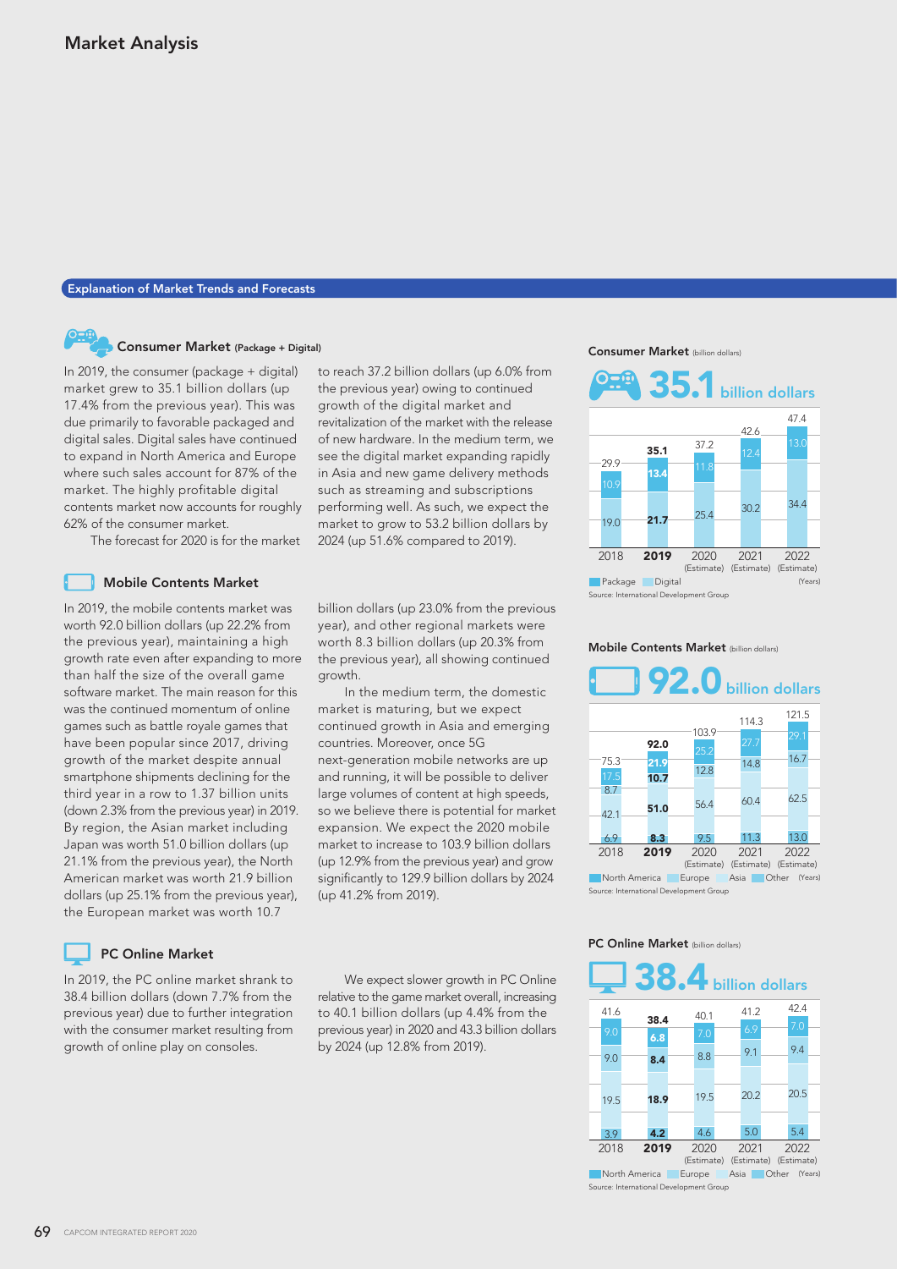# Explanation of Market Trends and Forecasts

# Consumer Market (Package + Digital)

In 2019, the consumer (package + digital) market grew to 35.1 billion dollars (up 17.4% from the previous year). This was due primarily to favorable packaged and digital sales. Digital sales have continued to expand in North America and Europe where such sales account for 87% of the market. The highly profitable digital contents market now accounts for roughly 62% of the consumer market.

The forecast for 2020 is for the market

### Mobile Contents Market

In 2019, the mobile contents market was worth 92.0 billion dollars (up 22.2% from the previous year), maintaining a high growth rate even after expanding to more than half the size of the overall game software market. The main reason for this was the continued momentum of online games such as battle royale games that have been popular since 2017, driving growth of the market despite annual smartphone shipments declining for the third year in a row to 1.37 billion units (down 2.3% from the previous year) in 2019. By region, the Asian market including Japan was worth 51.0 billion dollars (up 21.1% from the previous year), the North American market was worth 21.9 billion dollars (up 25.1% from the previous year), the European market was worth 10.7

## PC Online Market

In 2019, the PC online market shrank to 38.4 billion dollars (down 7.7% from the previous year) due to further integration with the consumer market resulting from growth of online play on consoles.

to reach 37.2 billion dollars (up 6.0% from the previous year) owing to continued growth of the digital market and revitalization of the market with the release of new hardware. In the medium term, we see the digital market expanding rapidly in Asia and new game delivery methods such as streaming and subscriptions performing well. As such, we expect the market to grow to 53.2 billion dollars by 2024 (up 51.6% compared to 2019).

billion dollars (up 23.0% from the previous year), and other regional markets were worth 8.3 billion dollars (up 20.3% from the previous year), all showing continued growth.

 In the medium term, the domestic market is maturing, but we expect continued growth in Asia and emerging countries. Moreover, once 5G next-generation mobile networks are up and running, it will be possible to deliver large volumes of content at high speeds, so we believe there is potential for market expansion. We expect the 2020 mobile market to increase to 103.9 billion dollars (up 12.9% from the previous year) and grow significantly to 129.9 billion dollars by 2024 (up 41.2% from 2019).

 We expect slower growth in PC Online relative to the game market overall, increasing to 40.1 billion dollars (up 4.4% from the previous year) in 2020 and 43.3 billion dollars by 2024 (up 12.8% from 2019).

Consumer Market (billion dollars)



Mobile Contents Market (billion dollars)



#### PC Online Market (billion dollars)



Asia Other (Years) rce: International Development Group